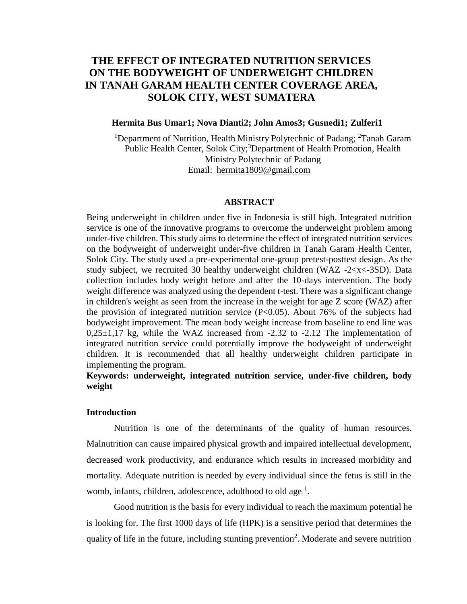# **THE EFFECT OF INTEGRATED NUTRITION SERVICES ON THE BODYWEIGHT OF UNDERWEIGHT CHILDREN IN TANAH GARAM HEALTH CENTER COVERAGE AREA, SOLOK CITY, WEST SUMATERA**

# **Hermita Bus Umar1; Nova Dianti2; John Amos3; Gusnedi1; Zulferi1**

<sup>1</sup>Department of Nutrition, Health Ministry Polytechnic of Padang;  ${}^{2}$ Tanah Garam Public Health Center, Solok City;<sup>3</sup>Department of Health Promotion, Health Ministry Polytechnic of Padang Email: [hermita1809@gmail.com](mailto:hermita1809@gmail.com)

## **ABSTRACT**

Being underweight in children under five in Indonesia is still high. Integrated nutrition service is one of the innovative programs to overcome the underweight problem among under-five children. This study aims to determine the effect of integrated nutrition services on the bodyweight of underweight under-five children in Tanah Garam Health Center, Solok City. The study used a pre-experimental one-group pretest-posttest design. As the study subject, we recruited 30 healthy underweight children (WAZ -2<x<-3SD). Data collection includes body weight before and after the 10-days intervention. The body weight difference was analyzed using the dependent t-test. There was a significant change in children's weight as seen from the increase in the weight for age Z score (WAZ) after the provision of integrated nutrition service (P<0.05). About 76% of the subjects had bodyweight improvement. The mean body weight increase from baseline to end line was  $0,25\pm1,17$  kg, while the WAZ increased from  $-2.32$  to  $-2.12$  The implementation of integrated nutrition service could potentially improve the bodyweight of underweight children. It is recommended that all healthy underweight children participate in implementing the program.

# **Keywords: underweight, integrated nutrition service, under-five children, body weight**

#### **Introduction**

Nutrition is one of the determinants of the quality of human resources. Malnutrition can cause impaired physical growth and impaired intellectual development, decreased work productivity, and endurance which results in increased morbidity and mortality. Adequate nutrition is needed by every individual since the fetus is still in the womb, infants, children, adolescence, adulthood to old age<sup>1</sup>.

Good nutrition is the basis for every individual to reach the maximum potential he is looking for. The first 1000 days of life (HPK) is a sensitive period that determines the quality of life in the future, including stunting prevention<sup>2</sup>. Moderate and severe nutrition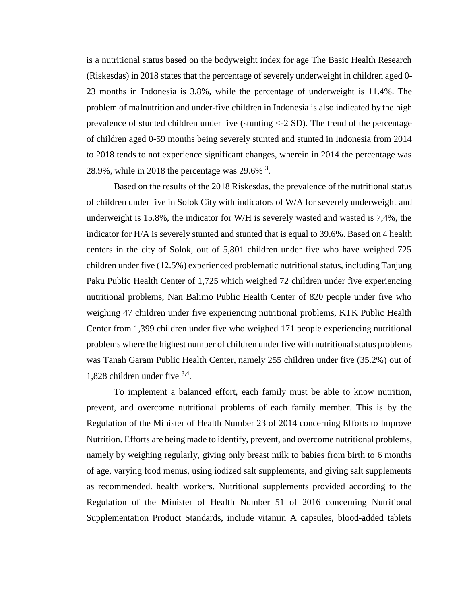is a nutritional status based on the bodyweight index for age The Basic Health Research (Riskesdas) in 2018 states that the percentage of severely underweight in children aged 0- 23 months in Indonesia is 3.8%, while the percentage of underweight is 11.4%. The problem of malnutrition and under-five children in Indonesia is also indicated by the high prevalence of stunted children under five (stunting <-2 SD). The trend of the percentage of children aged 0-59 months being severely stunted and stunted in Indonesia from 2014 to 2018 tends to not experience significant changes, wherein in 2014 the percentage was 28.9%, while in 2018 the percentage was 29.6%  $3$ .

Based on the results of the 2018 Riskesdas, the prevalence of the nutritional status of children under five in Solok City with indicators of W/A for severely underweight and underweight is 15.8%, the indicator for W/H is severely wasted and wasted is 7,4%, the indicator for H/A is severely stunted and stunted that is equal to 39.6%. Based on 4 health centers in the city of Solok, out of 5,801 children under five who have weighed 725 children under five (12.5%) experienced problematic nutritional status, including Tanjung Paku Public Health Center of 1,725 which weighed 72 children under five experiencing nutritional problems, Nan Balimo Public Health Center of 820 people under five who weighing 47 children under five experiencing nutritional problems, KTK Public Health Center from 1,399 children under five who weighed 171 people experiencing nutritional problems where the highest number of children under five with nutritional status problems was Tanah Garam Public Health Center, namely 255 children under five (35.2%) out of 1,828 children under five 3,4 .

To implement a balanced effort, each family must be able to know nutrition, prevent, and overcome nutritional problems of each family member. This is by the Regulation of the Minister of Health Number 23 of 2014 concerning Efforts to Improve Nutrition. Efforts are being made to identify, prevent, and overcome nutritional problems, namely by weighing regularly, giving only breast milk to babies from birth to 6 months of age, varying food menus, using iodized salt supplements, and giving salt supplements as recommended. health workers. Nutritional supplements provided according to the Regulation of the Minister of Health Number 51 of 2016 concerning Nutritional Supplementation Product Standards, include vitamin A capsules, blood-added tablets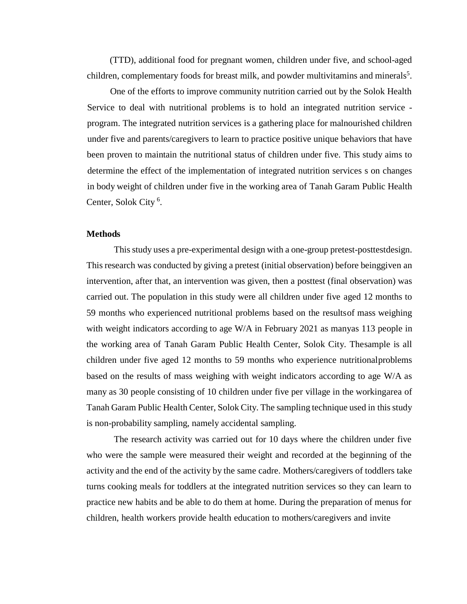(TTD), additional food for pregnant women, children under five, and school-aged children, complementary foods for breast milk, and powder multivitamins and minerals<sup>5</sup>.

One of the efforts to improve community nutrition carried out by the Solok Health Service to deal with nutritional problems is to hold an integrated nutrition service program. The integrated nutrition services is a gathering place for malnourished children under five and parents/caregivers to learn to practice positive unique behaviors that have been proven to maintain the nutritional status of children under five. This study aims to determine the effect of the implementation of integrated nutrition services s on changes in body weight of children under five in the working area of Tanah Garam Public Health Center, Solok City<sup>6</sup>.

#### **Methods**

This study uses a pre-experimental design with a one-group pretest-posttestdesign. This research was conducted by giving a pretest (initial observation) before beinggiven an intervention, after that, an intervention was given, then a posttest (final observation) was carried out. The population in this study were all children under five aged 12 months to 59 months who experienced nutritional problems based on the resultsof mass weighing with weight indicators according to age W/A in February 2021 as manyas 113 people in the working area of Tanah Garam Public Health Center, Solok City. Thesample is all children under five aged 12 months to 59 months who experience nutritionalproblems based on the results of mass weighing with weight indicators according to age W/A as many as 30 people consisting of 10 children under five per village in the workingarea of Tanah Garam Public Health Center, Solok City. The sampling technique used in this study is non-probability sampling, namely accidental sampling.

The research activity was carried out for 10 days where the children under five who were the sample were measured their weight and recorded at the beginning of the activity and the end of the activity by the same cadre. Mothers/caregivers of toddlers take turns cooking meals for toddlers at the integrated nutrition services so they can learn to practice new habits and be able to do them at home. During the preparation of menus for children, health workers provide health education to mothers/caregivers and invite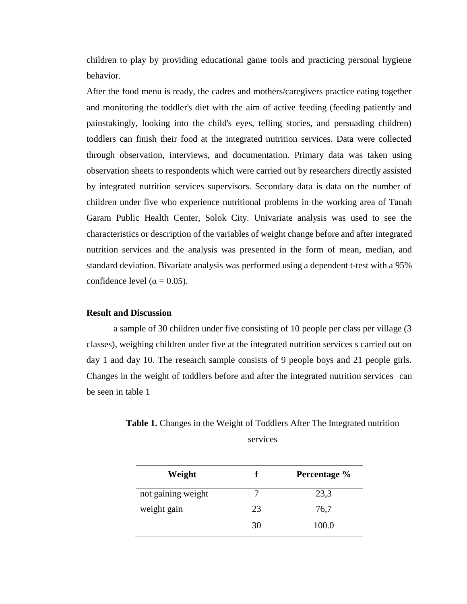children to play by providing educational game tools and practicing personal hygiene behavior.

After the food menu is ready, the cadres and mothers/caregivers practice eating together and monitoring the toddler's diet with the aim of active feeding (feeding patiently and painstakingly, looking into the child's eyes, telling stories, and persuading children) toddlers can finish their food at the integrated nutrition services. Data were collected through observation, interviews, and documentation. Primary data was taken using observation sheets to respondents which were carried out by researchers directly assisted by integrated nutrition services supervisors. Secondary data is data on the number of children under five who experience nutritional problems in the working area of Tanah Garam Public Health Center, Solok City. Univariate analysis was used to see the characteristics or description of the variables of weight change before and after integrated nutrition services and the analysis was presented in the form of mean, median, and standard deviation. Bivariate analysis was performed using a dependent t-test with a 95% confidence level ( $\alpha$  = 0.05).

# **Result and Discussion**

a sample of 30 children under five consisting of 10 people per class per village (3 classes), weighing children under five at the integrated nutrition services s carried out on day 1 and day 10. The research sample consists of 9 people boys and 21 people girls. Changes in the weight of toddlers before and after the integrated nutrition services can be seen in table 1

Table 1. Changes in the Weight of Toddlers After The Integrated nutrition services

| Weight             |    | Percentage % |  |
|--------------------|----|--------------|--|
| not gaining weight |    | 23,3         |  |
| weight gain        | 23 | 76,7         |  |
|                    | 30 | 100.0        |  |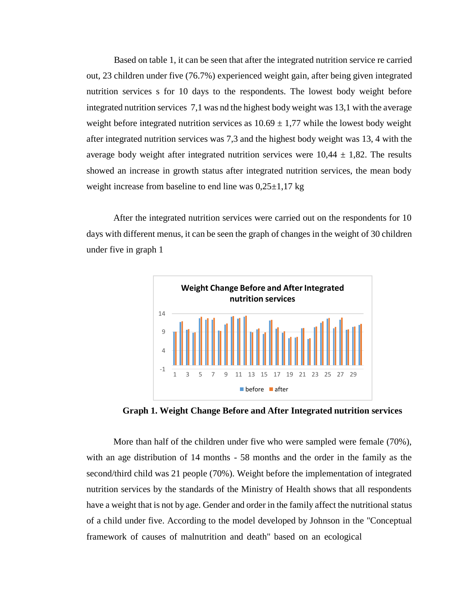Based on table 1, it can be seen that after the integrated nutrition service re carried out, 23 children under five (76.7%) experienced weight gain, after being given integrated nutrition services s for 10 days to the respondents. The lowest body weight before integrated nutrition services 7,1 was nd the highest body weight was 13,1 with the average weight before integrated nutrition services as  $10.69 \pm 1.77$  while the lowest body weight after integrated nutrition services was 7,3 and the highest body weight was 13, 4 with the average body weight after integrated nutrition services were  $10,44 \pm 1,82$ . The results showed an increase in growth status after integrated nutrition services, the mean body weight increase from baseline to end line was  $0,25\pm1,17$  kg

After the integrated nutrition services were carried out on the respondents for 10 days with different menus, it can be seen the graph of changes in the weight of 30 children under five in graph 1



**Graph 1. Weight Change Before and After Integrated nutrition services**

More than half of the children under five who were sampled were female (70%), with an age distribution of 14 months - 58 months and the order in the family as the second/third child was 21 people (70%). Weight before the implementation of integrated nutrition services by the standards of the Ministry of Health shows that all respondents have a weight that is not by age. Gender and order in the family affect the nutritional status of a child under five. According to the model developed by Johnson in the "Conceptual framework of causes of malnutrition and death" based on an ecological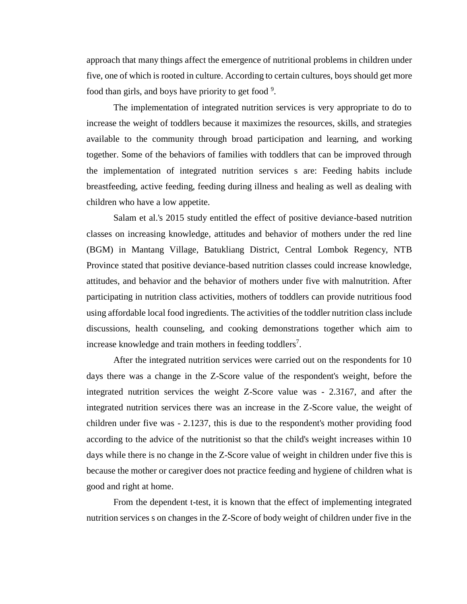approach that many things affect the emergence of nutritional problems in children under five, one of which is rooted in culture. According to certain cultures, boys should get more food than girls, and boys have priority to get food  $9$ .

The implementation of integrated nutrition services is very appropriate to do to increase the weight of toddlers because it maximizes the resources, skills, and strategies available to the community through broad participation and learning, and working together. Some of the behaviors of families with toddlers that can be improved through the implementation of integrated nutrition services s are: Feeding habits include breastfeeding, active feeding, feeding during illness and healing as well as dealing with children who have a low appetite.

Salam et al.'s 2015 study entitled the effect of positive deviance-based nutrition classes on increasing knowledge, attitudes and behavior of mothers under the red line (BGM) in Mantang Village, Batukliang District, Central Lombok Regency, NTB Province stated that positive deviance-based nutrition classes could increase knowledge, attitudes, and behavior and the behavior of mothers under five with malnutrition. After participating in nutrition class activities, mothers of toddlers can provide nutritious food using affordable local food ingredients. The activities of the toddler nutrition classinclude discussions, health counseling, and cooking demonstrations together which aim to increase knowledge and train mothers in feeding toddlers<sup>7</sup>.

After the integrated nutrition services were carried out on the respondents for 10 days there was a change in the Z-Score value of the respondent's weight, before the integrated nutrition services the weight Z-Score value was - 2.3167, and after the integrated nutrition services there was an increase in the Z-Score value, the weight of children under five was - 2.1237, this is due to the respondent's mother providing food according to the advice of the nutritionist so that the child's weight increases within 10 days while there is no change in the Z-Score value of weight in children under five this is because the mother or caregiver does not practice feeding and hygiene of children what is good and right at home.

From the dependent t-test, it is known that the effect of implementing integrated nutrition services s on changes in the Z-Score of body weight of children under five in the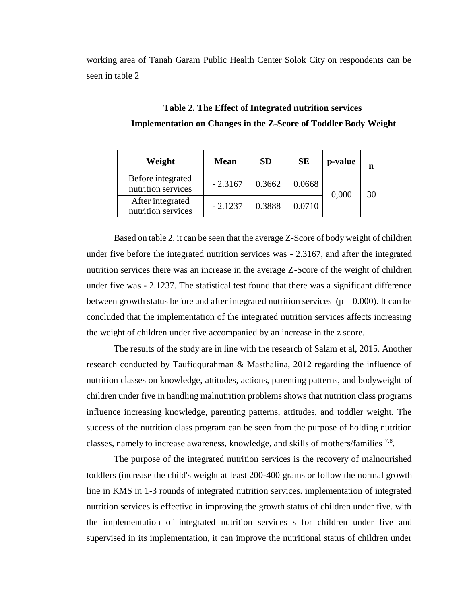working area of Tanah Garam Public Health Center Solok City on respondents can be seen in table 2

| Weight                                  | <b>Mean</b> | <b>SD</b> | <b>SE</b> | p-value |    |
|-----------------------------------------|-------------|-----------|-----------|---------|----|
| Before integrated<br>nutrition services | $-2.3167$   | 0.3662    | 0.0668    | 0,000   | 30 |
| After integrated<br>nutrition services  | $-2.1237$   | 0.3888    | 0.0710    |         |    |

**Table 2. The Effect of Integrated nutrition services Implementation on Changes in the Z-Score of Toddler Body Weight**

Based on table 2, it can be seen that the average Z-Score of body weight of children under five before the integrated nutrition services was - 2.3167, and after the integrated nutrition services there was an increase in the average Z-Score of the weight of children under five was - 2.1237. The statistical test found that there was a significant difference between growth status before and after integrated nutrition services ( $p = 0.000$ ). It can be concluded that the implementation of the integrated nutrition services affects increasing the weight of children under five accompanied by an increase in the z score.

The results of the study are in line with the research of Salam et al, 2015. Another research conducted by Taufiqqurahman & Masthalina, 2012 regarding the influence of nutrition classes on knowledge, attitudes, actions, parenting patterns, and bodyweight of children under five in handling malnutrition problems shows that nutrition class programs influence increasing knowledge, parenting patterns, attitudes, and toddler weight. The success of the nutrition class program can be seen from the purpose of holding nutrition classes, namely to increase awareness, knowledge, and skills of mothers/families <sup>7,8</sup>.

The purpose of the integrated nutrition services is the recovery of malnourished toddlers (increase the child's weight at least 200-400 grams or follow the normal growth line in KMS in 1-3 rounds of integrated nutrition services. implementation of integrated nutrition services is effective in improving the growth status of children under five. with the implementation of integrated nutrition services s for children under five and supervised in its implementation, it can improve the nutritional status of children under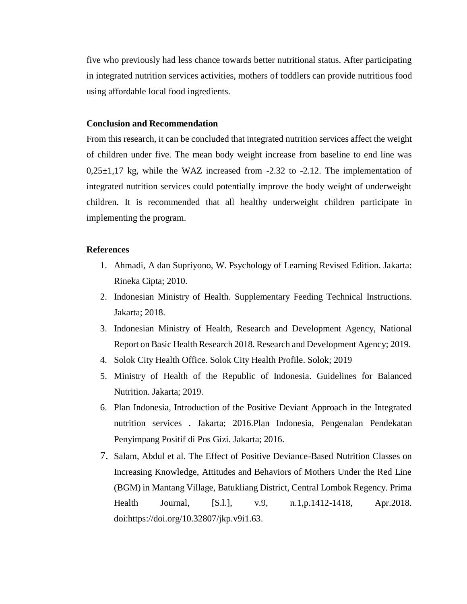five who previously had less chance towards better nutritional status. After participating in integrated nutrition services activities, mothers of toddlers can provide nutritious food using affordable local food ingredients.

# **Conclusion and Recommendation**

From this research, it can be concluded that integrated nutrition services affect the weight of children under five. The mean body weight increase from baseline to end line was  $0,25\pm1,17$  kg, while the WAZ increased from -2.32 to -2.12. The implementation of integrated nutrition services could potentially improve the body weight of underweight children. It is recommended that all healthy underweight children participate in implementing the program.

# **References**

- 1. Ahmadi, A dan Supriyono, W. Psychology of Learning Revised Edition. Jakarta: Rineka Cipta; 2010.
- 2. Indonesian Ministry of Health. Supplementary Feeding Technical Instructions. Jakarta; 2018.
- 3. Indonesian Ministry of Health, Research and Development Agency, National Report on Basic Health Research 2018. Research and Development Agency; 2019.
- 4. Solok City Health Office. Solok City Health Profile. Solok; 2019
- 5. Ministry of Health of the Republic of Indonesia. Guidelines for Balanced Nutrition. Jakarta; 2019.
- 6. Plan Indonesia, Introduction of the Positive Deviant Approach in the Integrated nutrition services . Jakarta; 2016.Plan Indonesia, Pengenalan Pendekatan Penyimpang Positif di Pos Gizi. Jakarta; 2016.
- 7. Salam, Abdul et al. The Effect of Positive Deviance-Based Nutrition Classes on Increasing Knowledge, Attitudes and Behaviors of Mothers Under the Red Line (BGM) in Mantang Village, Batukliang District, Central Lombok Regency. Prima Health Journal, [S.l.], v.9, n.1,p.1412-1418, Apr.2018. doi[:https://doi.org/10.32807/jkp.v9i1.63.](https://doi.org/10.32807/jkp.v9i1.63)